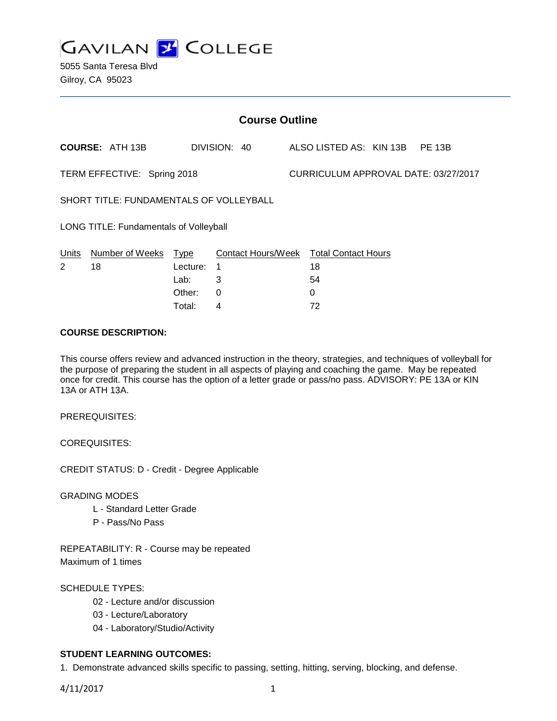

| <b>Course Outline</b>                   |                        |          |                    |  |                                      |  |               |  |
|-----------------------------------------|------------------------|----------|--------------------|--|--------------------------------------|--|---------------|--|
|                                         | <b>COURSE: ATH 13B</b> |          | DIVISION: 40       |  | ALSO LISTED AS: KIN 13B              |  | <b>PE 13B</b> |  |
| TERM EFFECTIVE: Spring 2018             |                        |          |                    |  | CURRICULUM APPROVAL DATE: 03/27/2017 |  |               |  |
| SHORT TITLE: FUNDAMENTALS OF VOLLEYBALL |                        |          |                    |  |                                      |  |               |  |
| LONG TITLE: Fundamentals of Volleyball  |                        |          |                    |  |                                      |  |               |  |
| Units                                   | Number of Weeks        | Type     | Contact Hours/Week |  | <b>Total Contact Hours</b>           |  |               |  |
| 2                                       | 18                     | Lecture: | 1                  |  | 18                                   |  |               |  |
|                                         |                        | Lab:     | 3                  |  | 54                                   |  |               |  |
|                                         |                        | Other:   | 0                  |  | 0                                    |  |               |  |

Total: 4 72

### **COURSE DESCRIPTION:**

This course offers review and advanced instruction in the theory, strategies, and techniques of volleyball for the purpose of preparing the student in all aspects of playing and coaching the game. May be repeated once for credit. This course has the option of a letter grade or pass/no pass. ADVISORY: PE 13A or KIN 13A or ATH 13A.

PREREQUISITES:

COREQUISITES:

CREDIT STATUS: D - Credit - Degree Applicable

GRADING MODES

- L Standard Letter Grade
- P Pass/No Pass

REPEATABILITY: R - Course may be repeated Maximum of 1 times

SCHEDULE TYPES:

- 02 Lecture and/or discussion
- 03 Lecture/Laboratory
- 04 Laboratory/Studio/Activity

## **STUDENT LEARNING OUTCOMES:**

1. Demonstrate advanced skills specific to passing, setting, hitting, serving, blocking, and defense.

4/11/2017 1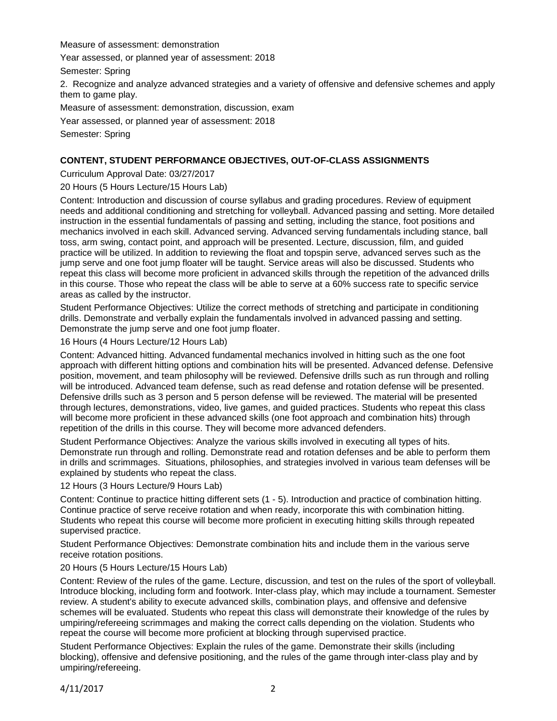Measure of assessment: demonstration

Year assessed, or planned year of assessment: 2018

Semester: Spring

2. Recognize and analyze advanced strategies and a variety of offensive and defensive schemes and apply them to game play.

Measure of assessment: demonstration, discussion, exam

Year assessed, or planned year of assessment: 2018

Semester: Spring

## **CONTENT, STUDENT PERFORMANCE OBJECTIVES, OUT-OF-CLASS ASSIGNMENTS**

Curriculum Approval Date: 03/27/2017

20 Hours (5 Hours Lecture/15 Hours Lab)

Content: Introduction and discussion of course syllabus and grading procedures. Review of equipment needs and additional conditioning and stretching for volleyball. Advanced passing and setting. More detailed instruction in the essential fundamentals of passing and setting, including the stance, foot positions and mechanics involved in each skill. Advanced serving. Advanced serving fundamentals including stance, ball toss, arm swing, contact point, and approach will be presented. Lecture, discussion, film, and guided practice will be utilized. In addition to reviewing the float and topspin serve, advanced serves such as the jump serve and one foot jump floater will be taught. Service areas will also be discussed. Students who repeat this class will become more proficient in advanced skills through the repetition of the advanced drills in this course. Those who repeat the class will be able to serve at a 60% success rate to specific service areas as called by the instructor.

Student Performance Objectives: Utilize the correct methods of stretching and participate in conditioning drills. Demonstrate and verbally explain the fundamentals involved in advanced passing and setting. Demonstrate the jump serve and one foot jump floater.

16 Hours (4 Hours Lecture/12 Hours Lab)

Content: Advanced hitting. Advanced fundamental mechanics involved in hitting such as the one foot approach with different hitting options and combination hits will be presented. Advanced defense. Defensive position, movement, and team philosophy will be reviewed. Defensive drills such as run through and rolling will be introduced. Advanced team defense, such as read defense and rotation defense will be presented. Defensive drills such as 3 person and 5 person defense will be reviewed. The material will be presented through lectures, demonstrations, video, live games, and guided practices. Students who repeat this class will become more proficient in these advanced skills (one foot approach and combination hits) through repetition of the drills in this course. They will become more advanced defenders.

Student Performance Objectives: Analyze the various skills involved in executing all types of hits. Demonstrate run through and rolling. Demonstrate read and rotation defenses and be able to perform them in drills and scrimmages. Situations, philosophies, and strategies involved in various team defenses will be explained by students who repeat the class.

12 Hours (3 Hours Lecture/9 Hours Lab)

Content: Continue to practice hitting different sets (1 - 5). Introduction and practice of combination hitting. Continue practice of serve receive rotation and when ready, incorporate this with combination hitting. Students who repeat this course will become more proficient in executing hitting skills through repeated supervised practice.

Student Performance Objectives: Demonstrate combination hits and include them in the various serve receive rotation positions.

20 Hours (5 Hours Lecture/15 Hours Lab)

Content: Review of the rules of the game. Lecture, discussion, and test on the rules of the sport of volleyball. Introduce blocking, including form and footwork. Inter-class play, which may include a tournament. Semester review. A student's ability to execute advanced skills, combination plays, and offensive and defensive schemes will be evaluated. Students who repeat this class will demonstrate their knowledge of the rules by umpiring/refereeing scrimmages and making the correct calls depending on the violation. Students who repeat the course will become more proficient at blocking through supervised practice.

Student Performance Objectives: Explain the rules of the game. Demonstrate their skills (including blocking), offensive and defensive positioning, and the rules of the game through inter-class play and by umpiring/refereeing.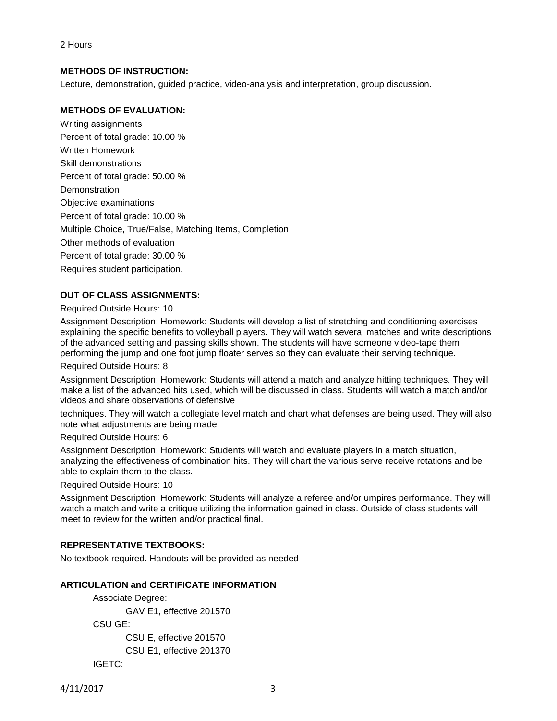## **METHODS OF INSTRUCTION:**

Lecture, demonstration, guided practice, video-analysis and interpretation, group discussion.

## **METHODS OF EVALUATION:**

Writing assignments Percent of total grade: 10.00 % Written Homework Skill demonstrations Percent of total grade: 50.00 % Demonstration Objective examinations Percent of total grade: 10.00 % Multiple Choice, True/False, Matching Items, Completion Other methods of evaluation Percent of total grade: 30.00 % Requires student participation.

# **OUT OF CLASS ASSIGNMENTS:**

#### Required Outside Hours: 10

Assignment Description: Homework: Students will develop a list of stretching and conditioning exercises explaining the specific benefits to volleyball players. They will watch several matches and write descriptions of the advanced setting and passing skills shown. The students will have someone video-tape them performing the jump and one foot jump floater serves so they can evaluate their serving technique.

#### Required Outside Hours: 8

Assignment Description: Homework: Students will attend a match and analyze hitting techniques. They will make a list of the advanced hits used, which will be discussed in class. Students will watch a match and/or videos and share observations of defensive

techniques. They will watch a collegiate level match and chart what defenses are being used. They will also note what adjustments are being made.

Required Outside Hours: 6

Assignment Description: Homework: Students will watch and evaluate players in a match situation, analyzing the effectiveness of combination hits. They will chart the various serve receive rotations and be able to explain them to the class.

Required Outside Hours: 10

Assignment Description: Homework: Students will analyze a referee and/or umpires performance. They will watch a match and write a critique utilizing the information gained in class. Outside of class students will meet to review for the written and/or practical final.

## **REPRESENTATIVE TEXTBOOKS:**

No textbook required. Handouts will be provided as needed

## **ARTICULATION and CERTIFICATE INFORMATION**

Associate Degree:

GAV E1, effective 201570

CSU GE:

CSU E, effective 201570 CSU E1, effective 201370 IGETC:

4/11/2017 3